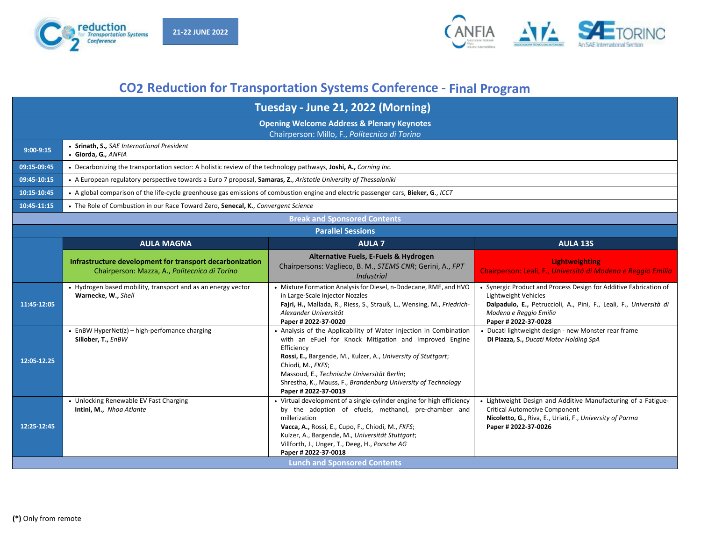



## **CO2 Reduction for Transportation Systems Conference - Final Program**

| Tuesday - June 21, 2022 (Morning)                                                                      |                                                                                                                                     |                                                                                                                                                                                                                                                                                                                                                                         |                                                                                                                                                                                                                   |
|--------------------------------------------------------------------------------------------------------|-------------------------------------------------------------------------------------------------------------------------------------|-------------------------------------------------------------------------------------------------------------------------------------------------------------------------------------------------------------------------------------------------------------------------------------------------------------------------------------------------------------------------|-------------------------------------------------------------------------------------------------------------------------------------------------------------------------------------------------------------------|
| <b>Opening Welcome Address &amp; Plenary Keynotes</b><br>Chairperson: Millo, F., Politecnico di Torino |                                                                                                                                     |                                                                                                                                                                                                                                                                                                                                                                         |                                                                                                                                                                                                                   |
| $9:00-9:15$                                                                                            | • Srinath, S., SAE International President<br>· Giorda, G., ANFIA                                                                   |                                                                                                                                                                                                                                                                                                                                                                         |                                                                                                                                                                                                                   |
| 09:15-09:45                                                                                            | . Decarbonizing the transportation sector: A holistic review of the technology pathways, Joshi, A., Corning Inc.                    |                                                                                                                                                                                                                                                                                                                                                                         |                                                                                                                                                                                                                   |
| 09:45-10:15                                                                                            | • A European regulatory perspective towards a Euro 7 proposal, Samaras, Z., Aristotle University of Thessaloniki                    |                                                                                                                                                                                                                                                                                                                                                                         |                                                                                                                                                                                                                   |
| 10:15-10:45                                                                                            | • A global comparison of the life-cycle greenhouse gas emissions of combustion engine and electric passenger cars, Bieker, G., ICCT |                                                                                                                                                                                                                                                                                                                                                                         |                                                                                                                                                                                                                   |
| 10:45-11:15                                                                                            | • The Role of Combustion in our Race Toward Zero, Senecal, K., Convergent Science                                                   |                                                                                                                                                                                                                                                                                                                                                                         |                                                                                                                                                                                                                   |
|                                                                                                        |                                                                                                                                     | <b>Break and Sponsored Contents</b>                                                                                                                                                                                                                                                                                                                                     |                                                                                                                                                                                                                   |
| <b>Parallel Sessions</b>                                                                               |                                                                                                                                     |                                                                                                                                                                                                                                                                                                                                                                         |                                                                                                                                                                                                                   |
|                                                                                                        | <b>AULA MAGNA</b>                                                                                                                   | <b>AULA 7</b>                                                                                                                                                                                                                                                                                                                                                           | <b>AULA 13S</b>                                                                                                                                                                                                   |
|                                                                                                        | Infrastructure development for transport decarbonization<br>Chairperson: Mazza, A., Politecnico di Torino                           | Alternative Fuels, E-Fuels & Hydrogen<br>Chairpersons: Vaglieco, B. M., STEMS CNR; Gerini, A., FPT<br><b>Industrial</b>                                                                                                                                                                                                                                                 | <b>Lightweighting</b><br>Chairperson: Leali, F., Università di Modena e Reggio Emilia                                                                                                                             |
| 11:45-12:05                                                                                            | • Hydrogen based mobility, transport and as an energy vector<br>Warnecke, W., Shell                                                 | • Mixture Formation Analysis for Diesel, n-Dodecane, RME, and HVO<br>in Large-Scale Injector Nozzles<br>Fajri, H., Mallada, R., Riess, S., Strauß, L., Wensing, M., Friedrich-<br>Alexander Universität<br>Paper # 2022-37-0020                                                                                                                                         | • Synergic Product and Process Design for Additive Fabrication of<br>Lightweight Vehicles<br>Dalpadulo, E., Petruccioli, A., Pini, F., Leali, F., Università di<br>Modena e Reggio Emilia<br>Paper # 2022-37-0028 |
| 12:05-12.25                                                                                            | • EnBW HyperNet(z) – high-perfomance charging<br>Sillober, T., EnBW                                                                 | • Analysis of the Applicability of Water Injection in Combination<br>with an eFuel for Knock Mitigation and Improved Engine<br>Efficiency<br>Rossi, E., Bargende, M., Kulzer, A., University of Stuttgart;<br>Chiodi, M., FKFS;<br>Massoud, E., Technische Universität Berlin;<br>Shrestha, K., Mauss, F., Brandenburg University of Technology<br>Paper # 2022-37-0019 | • Ducati lightweight design - new Monster rear frame<br>Di Piazza, S., Ducati Motor Holding SpA                                                                                                                   |
| 12:25-12:45                                                                                            | • Unlocking Renewable EV Fast Charging<br>Intini, M., Nhoa Atlante                                                                  | • Virtual development of a single-cylinder engine for high efficiency<br>by the adoption of efuels, methanol, pre-chamber and<br>millerization<br>Vacca, A., Rossi, E., Cupo, F., Chiodi, M., FKFS;<br>Kulzer, A., Bargende, M., Universität Stuttgart;<br>Villforth, J., Unger, T., Deeg, H., Porsche AG<br>Paper # 2022-37-0018                                       | • Lightweight Design and Additive Manufacturing of a Fatigue-<br><b>Critical Automotive Component</b><br>Nicoletto, G., Riva, E., Uriati, F., University of Parma<br>Paper # 2022-37-0026                         |
| <b>Lunch and Sponsored Contents</b>                                                                    |                                                                                                                                     |                                                                                                                                                                                                                                                                                                                                                                         |                                                                                                                                                                                                                   |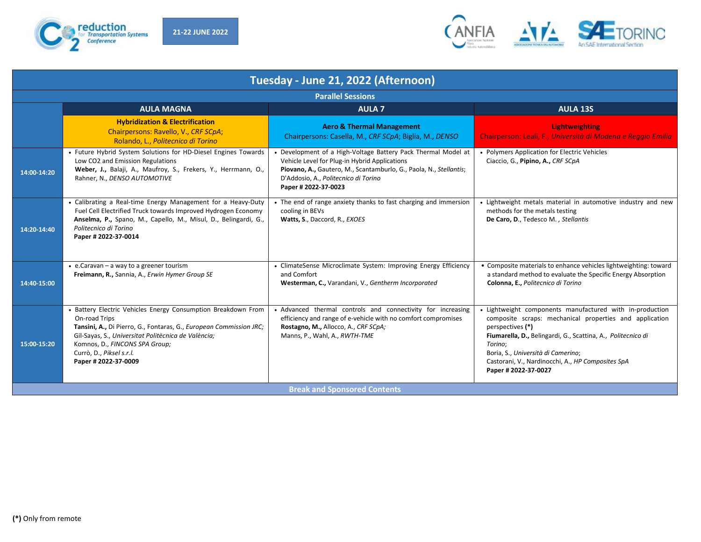



| Tuesday - June 21, 2022 (Afternoon) |                                                                                                                                                                                                                                                                                                   |                                                                                                                                                                                                                                                      |                                                                                                                                                                                                                                                                                                                                       |
|-------------------------------------|---------------------------------------------------------------------------------------------------------------------------------------------------------------------------------------------------------------------------------------------------------------------------------------------------|------------------------------------------------------------------------------------------------------------------------------------------------------------------------------------------------------------------------------------------------------|---------------------------------------------------------------------------------------------------------------------------------------------------------------------------------------------------------------------------------------------------------------------------------------------------------------------------------------|
|                                     |                                                                                                                                                                                                                                                                                                   | <b>Parallel Sessions</b>                                                                                                                                                                                                                             |                                                                                                                                                                                                                                                                                                                                       |
|                                     | <b>AULA MAGNA</b>                                                                                                                                                                                                                                                                                 | <b>AULA 7</b>                                                                                                                                                                                                                                        | <b>AULA 13S</b>                                                                                                                                                                                                                                                                                                                       |
|                                     | <b>Hybridization &amp; Electrification</b><br>Chairpersons: Ravello, V., CRF SCpA;<br>Rolando, L., Politecnico di Torino                                                                                                                                                                          | <b>Aero &amp; Thermal Management</b><br>Chairpersons: Casella, M., CRF SCpA; Biglia, M., DENSO                                                                                                                                                       | <b>Lightweighting</b><br>Chairperson: Leali, F., Università di Modena e Reggio Emilia                                                                                                                                                                                                                                                 |
| 14:00-14:20                         | • Future Hybrid System Solutions for HD-Diesel Engines Towards<br>Low CO2 and Emission Regulations<br>Weber, J., Balaji, A., Maufroy, S., Frekers, Y., Herrmann, O.,<br>Rahner, N., DENSO AUTOMOTIVE                                                                                              | • Development of a High-Voltage Battery Pack Thermal Model at<br>Vehicle Level for Plug-in Hybrid Applications<br>Piovano, A., Gautero, M., Scantamburlo, G., Paola, N., Stellantis;<br>D'Addosio, A., Politecnico di Torino<br>Paper # 2022-37-0023 | • Polymers Application for Electric Vehicles<br>Ciaccio, G., Pipino, A., CRF SCpA                                                                                                                                                                                                                                                     |
| 14:20-14:40                         | • Calibrating a Real-time Energy Management for a Heavy-Duty<br>Fuel Cell Electrified Truck towards Improved Hydrogen Economy<br>Anselma, P., Spano, M., Capello, M., Misul, D., Belingardi, G.,<br>Politecnico di Torino<br>Paper # 2022-37-0014                                                 | • The end of range anxiety thanks to fast charging and immersion<br>cooling in BEVs<br>Watts, S., Daccord, R., EXOES                                                                                                                                 | • Lightweight metals material in automotive industry and new<br>methods for the metals testing<br>De Caro, D., Tedesco M., Stellantis                                                                                                                                                                                                 |
| 14:40-15:00                         | $\bullet$ e. Caravan – a way to a greener tourism<br>Freimann, R., Sannia, A., Erwin Hymer Group SE                                                                                                                                                                                               | • ClimateSense Microclimate System: Improving Energy Efficiency<br>and Comfort<br>Westerman, C., Varandani, V., Gentherm Incorporated                                                                                                                | • Composite materials to enhance vehicles lightweighting: toward<br>a standard method to evaluate the Specific Energy Absorption<br>Colonna, E., Politecnico di Torino                                                                                                                                                                |
| 15:00-15:20                         | • Battery Electric Vehicles Energy Consumption Breakdown From<br>On-road Trips<br>Tansini, A., Di Pierro, G., Fontaras, G., European Commission JRC;<br>Gil-Sayas, S., Universitat Politècnica de València;<br>Komnos, D., FINCONS SPA Group;<br>Currò, D., Piksel s.r.l.<br>Paper # 2022-37-0009 | • Advanced thermal controls and connectivity for increasing<br>efficiency and range of e-vehicle with no comfort compromises<br>Rostagno, M., Allocco, A., CRF SCpA;<br>Manns, P., Wahl, A., RWTH-TME                                                | • Lightweight components manufactured with in-production<br>composite scraps: mechanical properties and application<br>perspectives (*)<br>Fiumarella, D., Belingardi, G., Scattina, A., Politecnico di<br>Torino:<br>Boria, S., Università di Camerino;<br>Castorani, V., Nardinocchi, A., HP Composites SpA<br>Paper # 2022-37-0027 |
| <b>Break and Sponsored Contents</b> |                                                                                                                                                                                                                                                                                                   |                                                                                                                                                                                                                                                      |                                                                                                                                                                                                                                                                                                                                       |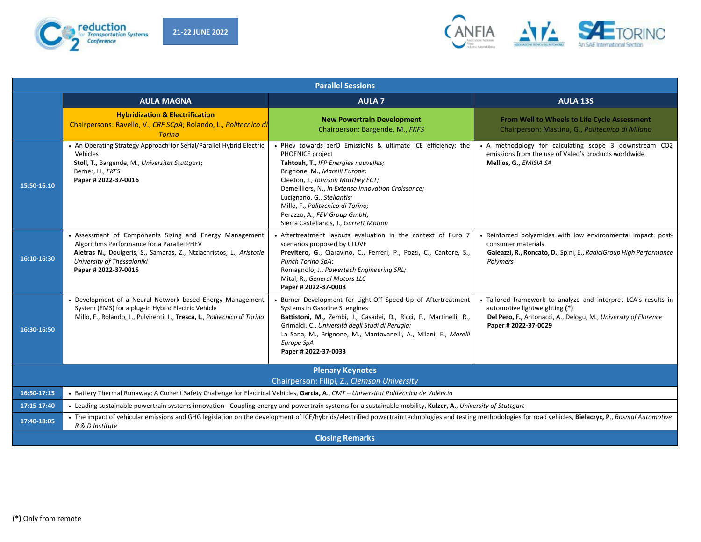



| <b>Parallel Sessions</b>                                                                                                                                                                           |                                                                                                                                                                                                                                     |                                                                                                                                                                                                                                                                                                                                                                                                   |                                                                                                                                                                                            |
|----------------------------------------------------------------------------------------------------------------------------------------------------------------------------------------------------|-------------------------------------------------------------------------------------------------------------------------------------------------------------------------------------------------------------------------------------|---------------------------------------------------------------------------------------------------------------------------------------------------------------------------------------------------------------------------------------------------------------------------------------------------------------------------------------------------------------------------------------------------|--------------------------------------------------------------------------------------------------------------------------------------------------------------------------------------------|
|                                                                                                                                                                                                    | <b>AULA MAGNA</b>                                                                                                                                                                                                                   | <b>AULA 7</b>                                                                                                                                                                                                                                                                                                                                                                                     | <b>AULA 13S</b>                                                                                                                                                                            |
|                                                                                                                                                                                                    | <b>Hybridization &amp; Electrification</b><br>Chairpersons: Ravello, V., CRF SCpA; Rolando, L., Politecnico di<br><b>Torino</b>                                                                                                     | <b>New Powertrain Development</b><br>Chairperson: Bargende, M., FKFS                                                                                                                                                                                                                                                                                                                              | From Well to Wheels to Life Cycle Assessment<br>Chairperson: Mastinu, G., Politecnico di Milano                                                                                            |
| 15:50-16:10                                                                                                                                                                                        | • An Operating Strategy Approach for Serial/Parallel Hybrid Electric<br>Vehicles<br>Stoll, T., Bargende, M., Universitat Stuttgart;<br>Berner, H., FKFS<br>Paper # 2022-37-0016                                                     | . PHev towards zerO EmissioNs & ultimate ICE efficiency: the<br>PHOENICE project<br>Tahtouh, T., IFP Energies nouvelles;<br>Brignone, M., Marelli Europe;<br>Cleeton, J., Johnson Matthey ECT;<br>Demeilliers, N., In Extenso Innovation Croissance;<br>Lucignano, G., Stellantis;<br>Millo, F., Politecnico di Torino;<br>Perazzo, A., FEV Group GmbH;<br>Sierra Castellanos, J., Garrett Motion | • A methodology for calculating scope 3 downstream CO2<br>emissions from the use of Valeo's products worldwide<br>Mellios, G., EMISIA SA                                                   |
| 16:10-16:30                                                                                                                                                                                        | • Assessment of Components Sizing and Energy Management<br>Algorithms Performance for a Parallel PHEV<br>Aletras N., Doulgeris, S., Samaras, Z., Ntziachristos, L., Aristotle<br>University of Thessaloniki<br>Paper # 2022-37-0015 | • Aftertreatment layouts evaluation in the context of Euro 7<br>scenarios proposed by CLOVE<br>Previtero, G., Ciaravino, C., Ferreri, P., Pozzi, C., Cantore, S.,<br>Punch Torino SpA;<br>Romagnolo, J., Powertech Engineering SRL;<br>Mital, R., General Motors LLC<br>Paper # 2022-37-0008                                                                                                      | • Reinforced polyamides with low environmental impact: post-<br>consumer materials<br>Galeazzi, R., Roncato, D., Spini, E., RadiciGroup High Performance<br>Polymers                       |
| 16:30-16:50                                                                                                                                                                                        | • Development of a Neural Network based Energy Management<br>System (EMS) for a plug-in Hybrid Electric Vehicle<br>Millo, F., Rolando, L., Pulvirenti, L., Tresca, L., Politecnico di Torino                                        | • Burner Development for Light-Off Speed-Up of Aftertreatment<br>Systems in Gasoline SI engines<br>Battistoni, M., Zembi, J., Casadei, D., Ricci, F., Martinelli, R.,<br>Grimaldi, C., Università degli Studi di Perugia;<br>La Sana, M., Brignone, M., Mantovanelli, A., Milani, E., Marelli<br>Europe SpA<br>Paper # 2022-37-0033                                                               | • Tailored framework to analyze and interpret LCA's results in<br>automotive lightweighting (*)<br>Del Pero, F., Antonacci, A., Delogu, M., University of Florence<br>Paper # 2022-37-0029 |
| <b>Plenary Keynotes</b>                                                                                                                                                                            |                                                                                                                                                                                                                                     |                                                                                                                                                                                                                                                                                                                                                                                                   |                                                                                                                                                                                            |
| Chairperson: Filipi, Z., Clemson University<br>16:50-17:15<br>• Battery Thermal Runaway: A Current Safety Challenge for Electrical Vehicles, Garcia, A., CMT - Universitat Politècnica de València |                                                                                                                                                                                                                                     |                                                                                                                                                                                                                                                                                                                                                                                                   |                                                                                                                                                                                            |
| 17:15-17:40                                                                                                                                                                                        | • Leading sustainable powertrain systems innovation - Coupling energy and powertrain systems for a sustainable mobility, Kulzer, A., University of Stuttgart                                                                        |                                                                                                                                                                                                                                                                                                                                                                                                   |                                                                                                                                                                                            |
| 17:40-18:05                                                                                                                                                                                        | • The impact of vehicular emissions and GHG legislation on the development of ICE/hybrids/electrified powertrain technologies and testing methodologies for road vehicles, Bielaczyc, P., Bosmal Automotive<br>R & D Institute      |                                                                                                                                                                                                                                                                                                                                                                                                   |                                                                                                                                                                                            |
| <b>Closing Remarks</b>                                                                                                                                                                             |                                                                                                                                                                                                                                     |                                                                                                                                                                                                                                                                                                                                                                                                   |                                                                                                                                                                                            |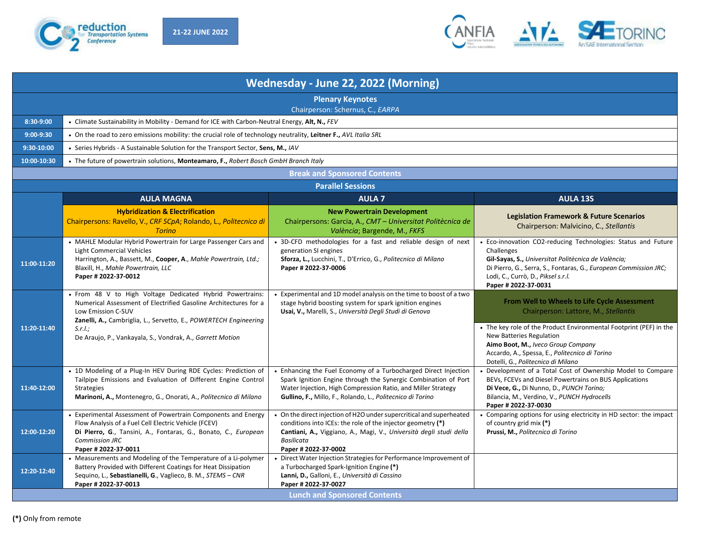



| Wednesday - June 22, 2022 (Morning)                         |                                                                                                                                                                                                                                                                                                    |                                                                                                                                                                                                                                                                 |                                                                                                                                                                                                                                                                                       |
|-------------------------------------------------------------|----------------------------------------------------------------------------------------------------------------------------------------------------------------------------------------------------------------------------------------------------------------------------------------------------|-----------------------------------------------------------------------------------------------------------------------------------------------------------------------------------------------------------------------------------------------------------------|---------------------------------------------------------------------------------------------------------------------------------------------------------------------------------------------------------------------------------------------------------------------------------------|
| <b>Plenary Keynotes</b><br>Chairperson: Schernus, C., EARPA |                                                                                                                                                                                                                                                                                                    |                                                                                                                                                                                                                                                                 |                                                                                                                                                                                                                                                                                       |
| 8:30-9:00                                                   | • Climate Sustainability in Mobility - Demand for ICE with Carbon-Neutral Energy, Alt, N., FEV                                                                                                                                                                                                     |                                                                                                                                                                                                                                                                 |                                                                                                                                                                                                                                                                                       |
| $9:00-9:30$                                                 | • On the road to zero emissions mobility: the crucial role of technology neutrality, Leitner F., AVL Italia SRL                                                                                                                                                                                    |                                                                                                                                                                                                                                                                 |                                                                                                                                                                                                                                                                                       |
| 9:30-10:00                                                  | • Series Hybrids - A Sustainable Solution for the Transport Sector, Sens, M., IAV                                                                                                                                                                                                                  |                                                                                                                                                                                                                                                                 |                                                                                                                                                                                                                                                                                       |
| 10:00-10:30                                                 | • The future of powertrain solutions, Monteamaro, F., Robert Bosch GmbH Branch Italy                                                                                                                                                                                                               |                                                                                                                                                                                                                                                                 |                                                                                                                                                                                                                                                                                       |
|                                                             |                                                                                                                                                                                                                                                                                                    | <b>Break and Sponsored Contents</b>                                                                                                                                                                                                                             |                                                                                                                                                                                                                                                                                       |
|                                                             |                                                                                                                                                                                                                                                                                                    | <b>Parallel Sessions</b>                                                                                                                                                                                                                                        |                                                                                                                                                                                                                                                                                       |
|                                                             | <b>AULA MAGNA</b>                                                                                                                                                                                                                                                                                  | <b>AULA 7</b>                                                                                                                                                                                                                                                   | <b>AULA 13S</b>                                                                                                                                                                                                                                                                       |
|                                                             | <b>Hybridization &amp; Electrification</b><br>Chairpersons: Ravello, V., CRF SCpA; Rolando, L., Politecnico di<br><b>Torino</b>                                                                                                                                                                    | <b>New Powertrain Development</b><br>Chairpersons: Garcia, A., CMT - Universitat Politècnica de<br>València; Bargende, M., FKFS                                                                                                                                 | <b>Legislation Framework &amp; Future Scenarios</b><br>Chairperson: Malvicino, C., Stellantis                                                                                                                                                                                         |
| 11:00-11:20                                                 | • MAHLE Modular Hybrid Powertrain for Large Passenger Cars and<br>Light Commercial Vehicles<br>Harrington, A., Bassett, M., Cooper, A., Mahle Powertrain, Ltd.;<br>Blaxill, H., Mahle Powertrain, LLC<br>Paper # 2022-37-0012                                                                      | • 3D-CFD methodologies for a fast and reliable design of next<br>generation SI engines<br>Sforza, L., Lucchini, T., D'Errico, G., Politecnico di Milano<br>Paper # 2022-37-0006                                                                                 | • Eco-innovation CO2-reducing Technologies: Status and Future<br>Challenges<br>Gil-Sayas, S., Universitat Politècnica de València;<br>Di Pierro, G., Serra, S., Fontaras, G., European Commission JRC;<br>Lodi, C., Currò, D., Piksel s.r.l.<br>Paper # 2022-37-0031                  |
| 11:20-11:40                                                 | • From 48 V to High Voltage Dedicated Hybrid Powertrains:<br>Numerical Assessment of Electrified Gasoline Architectures for a<br>Low Emission C-SUV<br>Zanelli, A., Cambriglia, L., Servetto, E., POWERTECH Engineering<br>$S.r.l.$ ;<br>De Araujo, P., Vankayala, S., Vondrak, A., Garrett Motion | • Experimental and 1D model analysis on the time to boost of a two<br>stage hybrid boosting system for spark ignition engines<br>Usai, V., Marelli, S., Università Degli Studi di Genova                                                                        | From Well to Wheels to Life Cycle Assessment<br>Chairperson: Lattore, M., Stellantis<br>• The key role of the Product Environmental Footprint (PEF) in the<br><b>New Batteries Regulation</b><br>Aimo Boot, M., Iveco Group Company<br>Accardo, A., Spessa, E., Politecnico di Torino |
| 11:40-12:00                                                 | • 1D Modeling of a Plug-In HEV During RDE Cycles: Prediction of<br>Tailpipe Emissions and Evaluation of Different Engine Control<br><b>Strategies</b><br>Marinoni, A., Montenegro, G., Onorati, A., Politecnico di Milano                                                                          | • Enhancing the Fuel Economy of a Turbocharged Direct Injection<br>Spark Ignition Engine through the Synergic Combination of Port<br>Water Injection, High Compression Ratio, and Miller Strategy<br>Gullino, F., Millo, F., Rolando, L., Politecnico di Torino | Dotelli, G., Politecnico di Milano<br>• Development of a Total Cost of Ownership Model to Compare<br>BEVs, FCEVs and Diesel Powertrains on BUS Applications<br>Di Vece, G., Di Nunno, D., PUNCH Torino;<br>Bilancia, M., Verdino, V., PUNCH Hydrocells<br>Paper # 2022-37-0030        |
| 12:00-12:20                                                 | Experimental Assessment of Powertrain Components and Energy<br>Flow Analysis of a Fuel Cell Electric Vehicle (FCEV)<br>Di Pierro, G., Tansini, A., Fontaras, G., Bonato, C., European<br><b>Commission JRC</b><br>Paper # 2022-37-0011                                                             | • On the direct injection of H2O under supercritical and superheated<br>conditions into ICEs: the role of the injector geometry (*)<br>Cantiani, A., Viggiano, A., Magi, V., Università degli studi della<br><b>Basilicata</b><br>Paper # 2022-37-0002          | • Comparing options for using electricity in HD sector: the impact<br>of country grid mix (*)<br>Prussi, M., Politecnico di Torino                                                                                                                                                    |
| 12:20-12:40                                                 | • Measurements and Modeling of the Temperature of a Li-polymer<br>Battery Provided with Different Coatings for Heat Dissipation<br>Sequino, L., Sebastianelli, G., Vaglieco, B. M., STEMS - CNR<br>Paper # 2022-37-0013                                                                            | • Direct Water Injection Strategies for Performance Improvement of<br>a Turbocharged Spark-Ignition Engine (*)<br>Lanni, D., Galloni, E., Università di Cassino<br>Paper # 2022-37-0027                                                                         |                                                                                                                                                                                                                                                                                       |
| <b>Lunch and Sponsored Contents</b>                         |                                                                                                                                                                                                                                                                                                    |                                                                                                                                                                                                                                                                 |                                                                                                                                                                                                                                                                                       |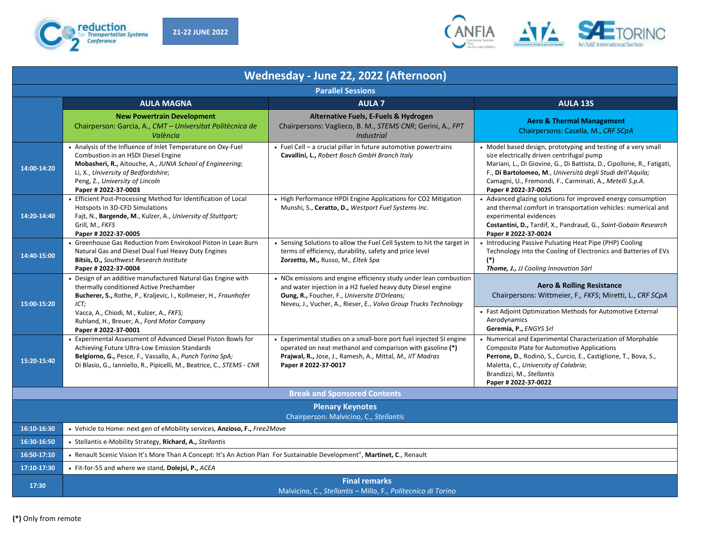



| Wednesday - June 22, 2022 (Afternoon)                             |                                                                                                                                                                                                                                                                                 |                                                                                                                                                                                                                                                      |                                                                                                                                                                                                                                                                                                                                        |
|-------------------------------------------------------------------|---------------------------------------------------------------------------------------------------------------------------------------------------------------------------------------------------------------------------------------------------------------------------------|------------------------------------------------------------------------------------------------------------------------------------------------------------------------------------------------------------------------------------------------------|----------------------------------------------------------------------------------------------------------------------------------------------------------------------------------------------------------------------------------------------------------------------------------------------------------------------------------------|
|                                                                   |                                                                                                                                                                                                                                                                                 | <b>Parallel Sessions</b>                                                                                                                                                                                                                             |                                                                                                                                                                                                                                                                                                                                        |
|                                                                   | <b>AULA MAGNA</b>                                                                                                                                                                                                                                                               | <b>AULA 7</b>                                                                                                                                                                                                                                        | <b>AULA 13S</b>                                                                                                                                                                                                                                                                                                                        |
|                                                                   | <b>New Powertrain Development</b><br>Chairperson: Garcia, A., CMT - Universitat Politècnica de<br>València                                                                                                                                                                      | Alternative Fuels, E-Fuels & Hydrogen<br>Chairpersons: Vaglieco, B. M., STEMS CNR; Gerini, A., FPT<br><b>Industrial</b>                                                                                                                              | <b>Aero &amp; Thermal Management</b><br>Chairpersons: Casella, M., CRF SCpA                                                                                                                                                                                                                                                            |
| 14:00-14:20                                                       | • Analysis of the Influence of Inlet Temperature on Oxy-Fuel<br>Combustion in an HSDI Diesel Engine<br>Mobasheri, R., Aitouche, A., JUNIA School of Engineering;<br>Li, X., University of Bedfordshire;<br>Peng, Z., University of Lincoln<br>Paper # 2022-37-0003              | • Fuel Cell - a crucial pillar in future automotive powertrains<br>Cavallini, L., Robert Bosch GmbH Branch Italy                                                                                                                                     | • Model based design, prototyping and testing of a very small<br>size electrically driven centrifugal pump<br>Mariani, L., Di Giovine, G., Di Battista, D., Cipollone, R., Fatigati,<br>F., Di Bartolomeo, M., Università degli Studi dell'Aquila;<br>Camagni, U., Fremondi, F., Carminati, A., Metelli S.p.A.<br>Paper # 2022-37-0025 |
| 14:20-14:40                                                       | • Efficient Post-Processing Method for Identification of Local<br>Hotspots in 3D-CFD Simulations<br>Fajt, N., Bargende, M., Kulzer, A., University of Stuttgart;<br>Grill, M., FKFS<br>Paper # 2022-37-0005                                                                     | • High Performance HPDI Engine Applications for CO2 Mitigation<br>Munshi, S., Ceratto, D., Westport Fuel Systems Inc.                                                                                                                                | • Advanced glazing solutions for improved energy consumption<br>and thermal comfort in transportation vehicles: numerical and<br>experimental evidences<br>Costantini, D., Tardif, X., Pandraud, G., Saint-Gobain Research<br>Paper # 2022-37-0024                                                                                     |
| 14:40-15:00                                                       | • Greenhouse Gas Reduction from Envirokool Piston in Lean Burn<br>Natural Gas and Diesel Dual Fuel Heavy Duty Engines<br>Bitsis, D., Southwest Research Institute<br>Paper # 2022-37-0004                                                                                       | • Sensing Solutions to allow the Fuel Cell System to hit the target in<br>terms of efficiency, durability, safety and price level<br>Zorzetto, M., Russo, M., Eltek Spa                                                                              | • Introducing Passive Pulsating Heat Pipe (PHP) Cooling<br>Technology into the Cooling of Electronics and Batteries of EVs<br>$(*)$<br><b>Thome, J., JJ Cooling Innovation Sàrl</b>                                                                                                                                                    |
| 15:00-15:20                                                       | • Design of an additive manufactured Natural Gas Engine with<br>thermally conditioned Active Prechamber<br>Bucherer, S., Rothe, P., Kraljevic, I., Kollmeier, H., Fraunhofer<br>ICT;<br>Vacca, A., Chiodi, M., Kulzer, A., FKFS;<br>Ruhland, H., Breuer, A., Ford Motor Company | • NOx emissions and engine efficiency study under lean combustion<br>and water injection in a H2 fueled heavy duty Diesel engine<br>Oung, R., Foucher, F., Universite D'Orleans;<br>Neveu, J., Vucher, A., Rieser, E., Volvo Group Trucks Technology | <b>Aero &amp; Rolling Resistance</b><br>Chairpersons: Wittmeier, F., FKFS; Miretti, L., CRF SCpA<br>• Fast Adjoint Optimization Methods for Automotive External<br>Aerodynamics<br>Geremia, P., ENGYS Srl                                                                                                                              |
| 15:20-15:40                                                       | Paper # 2022-37-0001<br>• Experimental Assessment of Advanced Diesel Piston Bowls for<br>Achieving Future Ultra-Low Emission Standards<br>Belgiorno, G., Pesce, F., Vassallo, A., Punch Torino SpA;<br>Di Blasio, G., Ianniello, R., Pipicelli, M., Beatrice, C., STEMS - CNR   | • Experimental studies on a small-bore port fuel injected SI engine<br>operated on neat methanol and comparison with gasoline (*)<br>Prajwal, R., Jose, J., Ramesh, A., Mittal, M., IIT Madras<br>Paper # 2022-37-0017                               | • Numerical and Experimental Characterization of Morphable<br><b>Composite Plate for Automotive Applications</b><br>Perrone, D., Rodinò, S., Curcio, E., Castiglione, T., Bova, S.,<br>Maletta, C., University of Calabria;<br>Brandizzi, M., Stellantis<br>Paper # 2022-37-0022                                                       |
| <b>Break and Sponsored Contents</b>                               |                                                                                                                                                                                                                                                                                 |                                                                                                                                                                                                                                                      |                                                                                                                                                                                                                                                                                                                                        |
| <b>Plenary Keynotes</b><br>Chairperson: Malvicino, C., Stellantis |                                                                                                                                                                                                                                                                                 |                                                                                                                                                                                                                                                      |                                                                                                                                                                                                                                                                                                                                        |
| 16:10-16:30                                                       | • Vehicle to Home: next gen of eMobility services, Anzioso, F., Free2Move                                                                                                                                                                                                       |                                                                                                                                                                                                                                                      |                                                                                                                                                                                                                                                                                                                                        |
| 16:30-16:50                                                       | • Stellantis e-Mobility Strategy, Richard, A., Stellantis                                                                                                                                                                                                                       |                                                                                                                                                                                                                                                      |                                                                                                                                                                                                                                                                                                                                        |
| 16:50-17:10                                                       | • Renault Scenic Vision It's More Than A Concept: It's An Action Plan For Sustainable Development", Martinet, C., Renault                                                                                                                                                       |                                                                                                                                                                                                                                                      |                                                                                                                                                                                                                                                                                                                                        |
| 17:10-17:30                                                       | • Fit-for-55 and where we stand, Dolejsi, P., ACEA                                                                                                                                                                                                                              |                                                                                                                                                                                                                                                      |                                                                                                                                                                                                                                                                                                                                        |
| 17:30                                                             |                                                                                                                                                                                                                                                                                 | <b>Final remarks</b><br>Malvicino, C., Stellantis - Millo, F., Politecnico di Torino                                                                                                                                                                 |                                                                                                                                                                                                                                                                                                                                        |